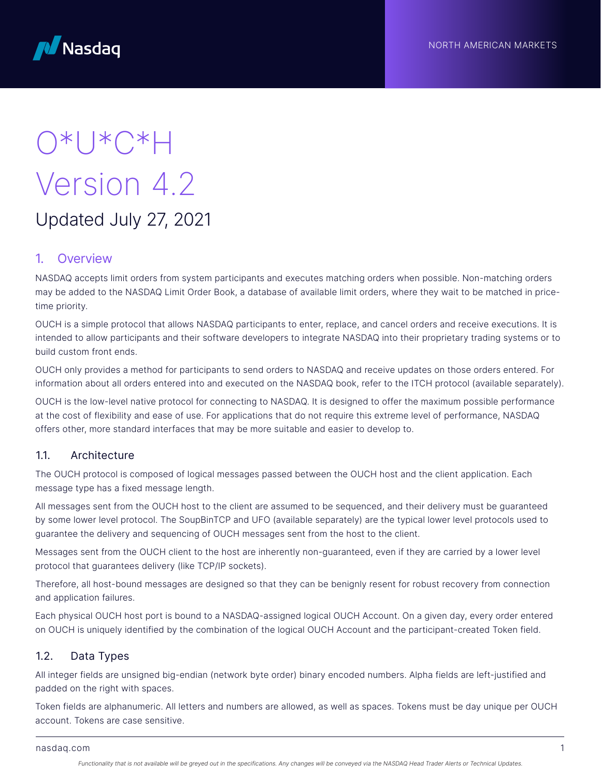



# O\*U\*C\*H Version 4.2 Updated July 27, 2021

## 1. Overview

NASDAQ accepts limit orders from system participants and executes matching orders when possible. Non-matching orders may be added to the NASDAQ Limit Order Book, a database of available limit orders, where they wait to be matched in pricetime priority.

OUCH is a simple protocol that allows NASDAQ participants to enter, replace, and cancel orders and receive executions. It is intended to allow participants and their software developers to integrate NASDAQ into their proprietary trading systems or to build custom front ends.

OUCH only provides a method for participants to send orders to NASDAQ and receive updates on those orders entered. For information about all orders entered into and executed on the NASDAQ book, refer to the ITCH protocol (available separately).

OUCH is the low-level native protocol for connecting to NASDAQ. It is designed to offer the maximum possible performance at the cost of flexibility and ease of use. For applications that do not require this extreme level of performance, NASDAQ offers other, more standard interfaces that may be more suitable and easier to develop to.

## 1.1. Architecture

The OUCH protocol is composed of logical messages passed between the OUCH host and the client application. Each message type has a fixed message length.

All messages sent from the OUCH host to the client are assumed to be sequenced, and their delivery must be guaranteed by some lower level protocol. The SoupBinTCP and UFO (available separately) are the typical lower level protocols used to guarantee the delivery and sequencing of OUCH messages sent from the host to the client.

Messages sent from the OUCH client to the host are inherently non-guaranteed, even if they are carried by a lower level protocol that guarantees delivery (like TCP/IP sockets).

Therefore, all host-bound messages are designed so that they can be benignly resent for robust recovery from connection and application failures.

Each physical OUCH host port is bound to a NASDAQ-assigned logical OUCH Account. On a given day, every order entered on OUCH is uniquely identified by the combination of the logical OUCH Account and the participant-created Token field.

## 1.2. Data Types

All integer fields are unsigned big-endian (network byte order) binary encoded numbers. Alpha fields are left-justified and padded on the right with spaces.

Token fields are alphanumeric. All letters and numbers are allowed, as well as spaces. Tokens must be day unique per OUCH account. Tokens are case sensitive.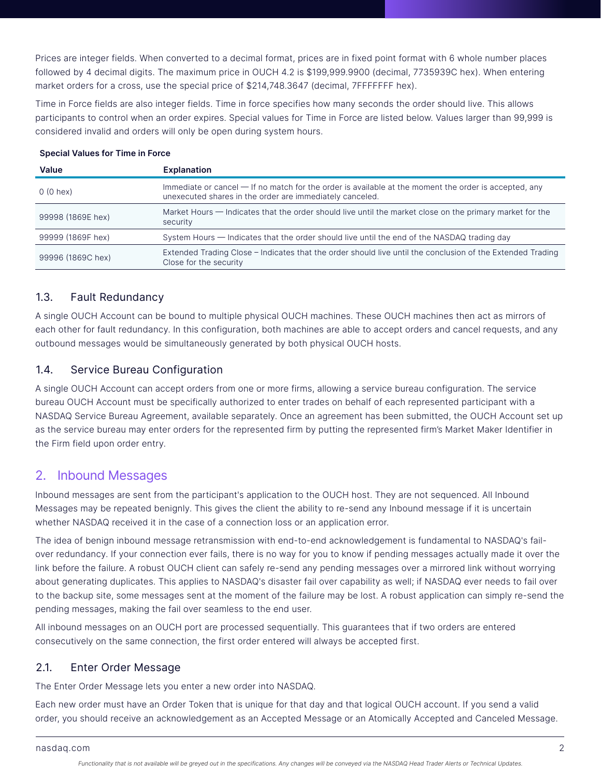Prices are integer fields. When converted to a decimal format, prices are in fixed point format with 6 whole number places followed by 4 decimal digits. The maximum price in OUCH 4.2 is \$199,999.9900 (decimal, 7735939C hex). When entering market orders for a cross, use the special price of \$214,748.3647 (decimal, 7FFFFFFF hex).

Time in Force fields are also integer fields. Time in force specifies how many seconds the order should live. This allows participants to control when an order expires. Special values for Time in Force are listed below. Values larger than 99,999 is considered invalid and orders will only be open during system hours.

#### Special Values for Time in Force

| Value             | Explanation                                                                                                                                                       |
|-------------------|-------------------------------------------------------------------------------------------------------------------------------------------------------------------|
| $0(0$ hex)        | Immediate or cancel - If no match for the order is available at the moment the order is accepted, any<br>unexecuted shares in the order are immediately canceled. |
| 99998 (1869E hex) | Market Hours — Indicates that the order should live until the market close on the primary market for the<br>security                                              |
| 99999 (1869F hex) | System Hours – Indicates that the order should live until the end of the NASDAQ trading day                                                                       |
| 99996 (1869C hex) | Extended Trading Close – Indicates that the order should live until the conclusion of the Extended Trading<br>Close for the security                              |

## 1.3. Fault Redundancy

A single OUCH Account can be bound to multiple physical OUCH machines. These OUCH machines then act as mirrors of each other for fault redundancy. In this configuration, both machines are able to accept orders and cancel requests, and any outbound messages would be simultaneously generated by both physical OUCH hosts.

## 1.4. Service Bureau Configuration

A single OUCH Account can accept orders from one or more firms, allowing a service bureau configuration. The service bureau OUCH Account must be specifically authorized to enter trades on behalf of each represented participant with a NASDAQ Service Bureau Agreement, available separately. Once an agreement has been submitted, the OUCH Account set up as the service bureau may enter orders for the represented firm by putting the represented firm's Market Maker Identifier in the Firm field upon order entry.

## 2. Inbound Messages

Inbound messages are sent from the participant's application to the OUCH host. They are not sequenced. All Inbound Messages may be repeated benignly. This gives the client the ability to re-send any Inbound message if it is uncertain whether NASDAQ received it in the case of a connection loss or an application error.

The idea of benign inbound message retransmission with end-to-end acknowledgement is fundamental to NASDAQ's failover redundancy. If your connection ever fails, there is no way for you to know if pending messages actually made it over the link before the failure. A robust OUCH client can safely re-send any pending messages over a mirrored link without worrying about generating duplicates. This applies to NASDAQ's disaster fail over capability as well; if NASDAQ ever needs to fail over to the backup site, some messages sent at the moment of the failure may be lost. A robust application can simply re-send the pending messages, making the fail over seamless to the end user.

All inbound messages on an OUCH port are processed sequentially. This guarantees that if two orders are entered consecutively on the same connection, the first order entered will always be accepted first.

## 2.1. Enter Order Message

The Enter Order Message lets you enter a new order into NASDAQ.

Each new order must have an Order Token that is unique for that day and that logical OUCH account. If you send a valid order, you should receive an acknowledgement as an Accepted Message or an Atomically Accepted and Canceled Message.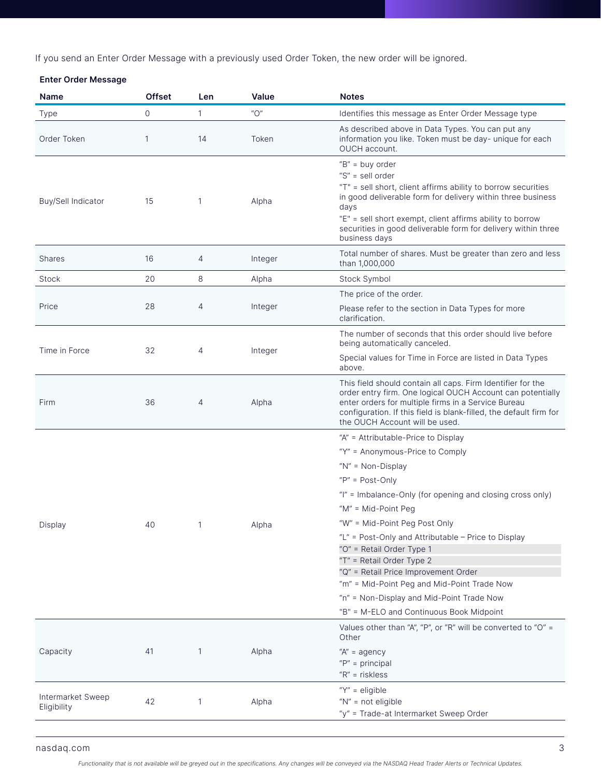If you send an Enter Order Message with a previously used Order Token, the new order will be ignored.

## Enter Order Message

| Name                      | <b>Offset</b> | Len            | Value                                     | <b>Notes</b>                                                                                                                                                                                                                                                                                                                      |
|---------------------------|---------------|----------------|-------------------------------------------|-----------------------------------------------------------------------------------------------------------------------------------------------------------------------------------------------------------------------------------------------------------------------------------------------------------------------------------|
| <b>Type</b>               | $\circ$       | 1              | $^{\prime\prime}$ $\bigcirc$ <sup>"</sup> | Identifies this message as Enter Order Message type                                                                                                                                                                                                                                                                               |
| Order Token               | $\mathbf{1}$  | 14             | Token                                     | As described above in Data Types. You can put any<br>information you like. Token must be day- unique for each<br>OUCH account.                                                                                                                                                                                                    |
| <b>Buy/Sell Indicator</b> | 15            | 1              | Alpha                                     | " $B" = buy order$<br>" $S$ " = sell order<br>"T" = sell short, client affirms ability to borrow securities<br>in good deliverable form for delivery within three business<br>days<br>"E" = sell short exempt, client affirms ability to borrow<br>securities in good deliverable form for delivery within three<br>business days |
| <b>Shares</b>             | 16            | 4              | Integer                                   | Total number of shares. Must be greater than zero and less<br>than 1,000,000                                                                                                                                                                                                                                                      |
| Stock                     | 20            | 8              | Alpha                                     | Stock Symbol                                                                                                                                                                                                                                                                                                                      |
|                           |               |                |                                           | The price of the order.                                                                                                                                                                                                                                                                                                           |
| Price                     | 28            | $\overline{4}$ | Integer                                   | Please refer to the section in Data Types for more<br>clarification.                                                                                                                                                                                                                                                              |
|                           |               |                |                                           | The number of seconds that this order should live before<br>being automatically canceled.                                                                                                                                                                                                                                         |
| Time in Force             | 32            | 4              | Integer                                   | Special values for Time in Force are listed in Data Types<br>above.                                                                                                                                                                                                                                                               |
| Firm                      | 36            | 4              | Alpha                                     | This field should contain all caps. Firm Identifier for the<br>order entry firm. One logical OUCH Account can potentially<br>enter orders for multiple firms in a Service Bureau<br>configuration. If this field is blank-filled, the default firm for<br>the OUCH Account will be used.                                          |
|                           |               |                |                                           | "A" = Attributable-Price to Display                                                                                                                                                                                                                                                                                               |
|                           |               |                |                                           | "Y" = Anonymous-Price to Comply                                                                                                                                                                                                                                                                                                   |
|                           |               |                |                                           | " $N$ " = Non-Display                                                                                                                                                                                                                                                                                                             |
|                           |               |                |                                           | " $P" = Post-Only$                                                                                                                                                                                                                                                                                                                |
|                           |               |                |                                           | "I" = Imbalance-Only (for opening and closing cross only)                                                                                                                                                                                                                                                                         |
|                           |               |                |                                           | "M" = Mid-Point Peg                                                                                                                                                                                                                                                                                                               |
| Display                   | 40            | 1              | Alpha                                     | "W" = Mid-Point Peg Post Only                                                                                                                                                                                                                                                                                                     |
|                           |               |                |                                           | "L" = Post-Only and Attributable - Price to Display                                                                                                                                                                                                                                                                               |
|                           |               |                |                                           | "O" = Retail Order Type 1                                                                                                                                                                                                                                                                                                         |
|                           |               |                |                                           | "T" = Retail Order Type 2<br>"Q" = Retail Price Improvement Order                                                                                                                                                                                                                                                                 |
|                           |               |                |                                           | "m" = Mid-Point Peg and Mid-Point Trade Now                                                                                                                                                                                                                                                                                       |
|                           |               |                |                                           | "n" = Non-Display and Mid-Point Trade Now                                                                                                                                                                                                                                                                                         |
|                           |               |                |                                           | "B" = M-ELO and Continuous Book Midpoint                                                                                                                                                                                                                                                                                          |
|                           |               |                |                                           | Values other than "A", "P", or "R" will be converted to "O" =<br>Other                                                                                                                                                                                                                                                            |
| Capacity                  | 41            | 1              | Alpha                                     | " $A$ " = agency                                                                                                                                                                                                                                                                                                                  |
|                           |               |                |                                           | " $P" = principal$                                                                                                                                                                                                                                                                                                                |
|                           |               |                |                                           | $"R" = riskless$                                                                                                                                                                                                                                                                                                                  |
| Intermarket Sweep         | 42            | 1              | Alpha                                     | " $Y'' =$ eligible<br>"N" = not eligible                                                                                                                                                                                                                                                                                          |
| Eligibility               |               |                |                                           | "y" = Trade-at Intermarket Sweep Order                                                                                                                                                                                                                                                                                            |
|                           |               |                |                                           |                                                                                                                                                                                                                                                                                                                                   |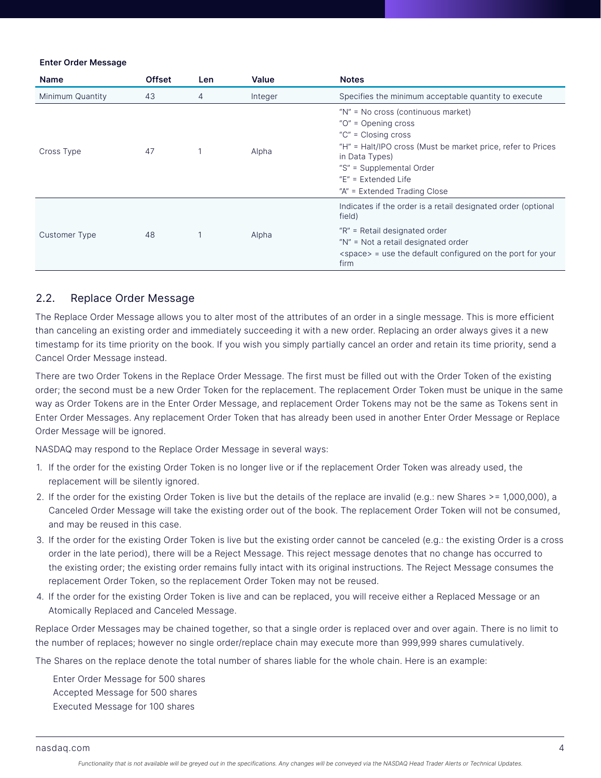#### Enter Order Message

| <b>Name</b>      | <b>Offset</b> | Len | Value   | <b>Notes</b>                                                                                                                                                                                                                                               |
|------------------|---------------|-----|---------|------------------------------------------------------------------------------------------------------------------------------------------------------------------------------------------------------------------------------------------------------------|
| Minimum Quantity | 43            | 4   | Integer | Specifies the minimum acceptable quantity to execute                                                                                                                                                                                                       |
| Cross Type       | 47            |     | Alpha   | "N" = No cross (continuous market)<br>"O" = Opening cross<br>" $C$ " = Closing cross<br>"H" = Halt/IPO cross (Must be market price, refer to Prices<br>in Data Types)<br>"S" = Supplemental Order<br>$E'' =$ Extended Life<br>"A" = Extended Trading Close |
| Customer Type    | 48            |     | Alpha   | Indicates if the order is a retail designated order (optional<br>field)<br>"R" = Retail designated order<br>"N" = Not a retail designated order<br><space> = use the default configured on the port for your<br/>firm</space>                              |

## 2.2. Replace Order Message

The Replace Order Message allows you to alter most of the attributes of an order in a single message. This is more efficient than canceling an existing order and immediately succeeding it with a new order. Replacing an order always gives it a new timestamp for its time priority on the book. If you wish you simply partially cancel an order and retain its time priority, send a Cancel Order Message instead.

There are two Order Tokens in the Replace Order Message. The first must be filled out with the Order Token of the existing order; the second must be a new Order Token for the replacement. The replacement Order Token must be unique in the same way as Order Tokens are in the Enter Order Message, and replacement Order Tokens may not be the same as Tokens sent in Enter Order Messages. Any replacement Order Token that has already been used in another Enter Order Message or Replace Order Message will be ignored.

NASDAQ may respond to the Replace Order Message in several ways:

- 1. If the order for the existing Order Token is no longer live or if the replacement Order Token was already used, the replacement will be silently ignored.
- 2. If the order for the existing Order Token is live but the details of the replace are invalid (e.g.: new Shares >= 1,000,000), a Canceled Order Message will take the existing order out of the book. The replacement Order Token will not be consumed, and may be reused in this case.
- 3. If the order for the existing Order Token is live but the existing order cannot be canceled (e.g.: the existing Order is a cross order in the late period), there will be a Reject Message. This reject message denotes that no change has occurred to the existing order; the existing order remains fully intact with its original instructions. The Reject Message consumes the replacement Order Token, so the replacement Order Token may not be reused.
- 4. If the order for the existing Order Token is live and can be replaced, you will receive either a Replaced Message or an Atomically Replaced and Canceled Message.

Replace Order Messages may be chained together, so that a single order is replaced over and over again. There is no limit to the number of replaces; however no single order/replace chain may execute more than 999,999 shares cumulatively.

The Shares on the replace denote the total number of shares liable for the whole chain. Here is an example:

Enter Order Message for 500 shares Accepted Message for 500 shares Executed Message for 100 shares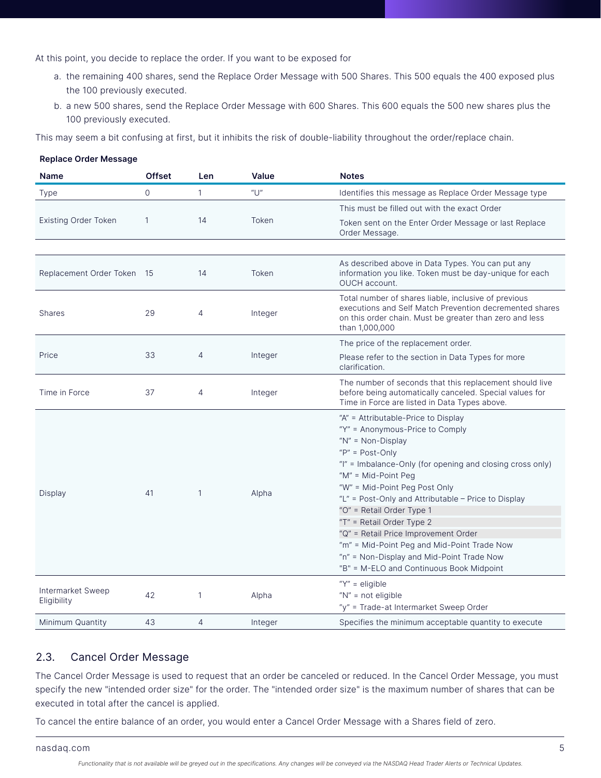At this point, you decide to replace the order. If you want to be exposed for

- a. the remaining 400 shares, send the Replace Order Message with 500 Shares. This 500 equals the 400 exposed plus the 100 previously executed.
- b. a new 500 shares, send the Replace Order Message with 600 Shares. This 600 equals the 500 new shares plus the 100 previously executed.

This may seem a bit confusing at first, but it inhibits the risk of double-liability throughout the order/replace chain.

| nopiaoo oraor mossago            |               |              |          |                                                                                                                                                                                                                                                                                                                                                                                                                                                                                                                                             |
|----------------------------------|---------------|--------------|----------|---------------------------------------------------------------------------------------------------------------------------------------------------------------------------------------------------------------------------------------------------------------------------------------------------------------------------------------------------------------------------------------------------------------------------------------------------------------------------------------------------------------------------------------------|
| <b>Name</b>                      | <b>Offset</b> | Len.         | Value    | <b>Notes</b>                                                                                                                                                                                                                                                                                                                                                                                                                                                                                                                                |
| <b>Type</b>                      | $\Omega$      | $\mathbf{1}$ | $''$ []" | Identifies this message as Replace Order Message type                                                                                                                                                                                                                                                                                                                                                                                                                                                                                       |
|                                  |               |              |          | This must be filled out with the exact Order                                                                                                                                                                                                                                                                                                                                                                                                                                                                                                |
| <b>Existing Order Token</b>      | $\mathbf{1}$  | 14           | Token    | Token sent on the Enter Order Message or last Replace<br>Order Message.                                                                                                                                                                                                                                                                                                                                                                                                                                                                     |
|                                  |               |              |          |                                                                                                                                                                                                                                                                                                                                                                                                                                                                                                                                             |
| Replacement Order Token 15       |               | 14           | Token    | As described above in Data Types. You can put any<br>information you like. Token must be day-unique for each<br>OUCH account.                                                                                                                                                                                                                                                                                                                                                                                                               |
| <b>Shares</b>                    | 29            | 4            | Integer  | Total number of shares liable, inclusive of previous<br>executions and Self Match Prevention decremented shares<br>on this order chain. Must be greater than zero and less<br>than 1,000,000                                                                                                                                                                                                                                                                                                                                                |
|                                  |               |              |          | The price of the replacement order.                                                                                                                                                                                                                                                                                                                                                                                                                                                                                                         |
| Price                            | 33            | 4            | Integer  | Please refer to the section in Data Types for more<br>clarification.                                                                                                                                                                                                                                                                                                                                                                                                                                                                        |
| Time in Force                    | 37            | 4            | Integer  | The number of seconds that this replacement should live<br>before being automatically canceled. Special values for<br>Time in Force are listed in Data Types above.                                                                                                                                                                                                                                                                                                                                                                         |
| Display                          | 41            | $\mathbf{1}$ | Alpha    | "A" = Attributable-Price to Display<br>"Y" = Anonymous-Price to Comply<br>" $N'' = Non-Display$<br>" $P" = Post-Only$<br>"I" = Imbalance-Only (for opening and closing cross only)<br>"M" = Mid-Point Peg<br>"W" = Mid-Point Peg Post Only<br>"L" = Post-Only and Attributable - Price to Display<br>"O" = Retail Order Type 1<br>"T" = Retail Order Type 2<br>"Q" = Retail Price Improvement Order<br>"m" = Mid-Point Peg and Mid-Point Trade Now<br>"n" = Non-Display and Mid-Point Trade Now<br>"B" = M-ELO and Continuous Book Midpoint |
| Intermarket Sweep<br>Eligibility | 42            | 1            | Alpha    | " $Y'' =$ eligible<br>" $N$ " = not eligible<br>"y" = Trade-at Intermarket Sweep Order                                                                                                                                                                                                                                                                                                                                                                                                                                                      |
| Minimum Quantity                 | 43            | 4            | Integer  | Specifies the minimum acceptable quantity to execute                                                                                                                                                                                                                                                                                                                                                                                                                                                                                        |

## Replace Order Message

## 2.3. Cancel Order Message

The Cancel Order Message is used to request that an order be canceled or reduced. In the Cancel Order Message, you must specify the new "intended order size" for the order. The "intended order size" is the maximum number of shares that can be executed in total after the cancel is applied.

To cancel the entire balance of an order, you would enter a Cancel Order Message with a Shares field of zero.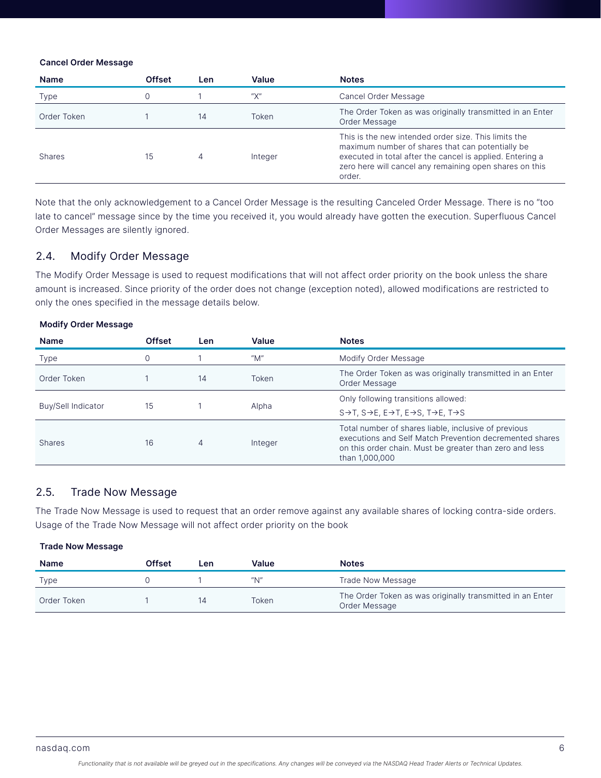#### Cancel Order Message

| Name          | <b>Offset</b> | Len | Value   | <b>Notes</b>                                                                                                                                                                                                                               |
|---------------|---------------|-----|---------|--------------------------------------------------------------------------------------------------------------------------------------------------------------------------------------------------------------------------------------------|
| <b>Type</b>   |               |     | "Х"     | Cancel Order Message                                                                                                                                                                                                                       |
| Order Token   |               | 14  | Token   | The Order Token as was originally transmitted in an Enter<br>Order Message                                                                                                                                                                 |
| <b>Shares</b> | 15            | 4   | Integer | This is the new intended order size. This limits the<br>maximum number of shares that can potentially be<br>executed in total after the cancel is applied. Entering a<br>zero here will cancel any remaining open shares on this<br>order. |

Note that the only acknowledgement to a Cancel Order Message is the resulting Canceled Order Message. There is no "too late to cancel" message since by the time you received it, you would already have gotten the execution. Superfluous Cancel Order Messages are silently ignored.

## 2.4. Modify Order Message

The Modify Order Message is used to request modifications that will not affect order priority on the book unless the share amount is increased. Since priority of the order does not change (exception noted), allowed modifications are restricted to only the ones specified in the message details below.

| <b>Name</b>        | <b>Offset</b> | Len | Value   | <b>Notes</b>                                                                                                                                                                                 |
|--------------------|---------------|-----|---------|----------------------------------------------------------------------------------------------------------------------------------------------------------------------------------------------|
| <b>Type</b>        |               |     | "M"     | Modify Order Message                                                                                                                                                                         |
| Order Token        |               | 14  | Token   | The Order Token as was originally transmitted in an Enter<br>Order Message                                                                                                                   |
| Buy/Sell Indicator | 15            |     | Alpha   | Only following transitions allowed:                                                                                                                                                          |
|                    |               |     |         | $S \rightarrow T$ , $S \rightarrow E$ , $E \rightarrow T$ , $E \rightarrow S$ , $T \rightarrow E$ , $T \rightarrow S$                                                                        |
| <b>Shares</b>      | 16            | 4   | Integer | Total number of shares liable, inclusive of previous<br>executions and Self Match Prevention decremented shares<br>on this order chain. Must be greater than zero and less<br>than 1,000,000 |

## Modify Order Message

## 2.5. Trade Now Message

The Trade Now Message is used to request that an order remove against any available shares of locking contra-side orders. Usage of the Trade Now Message will not affect order priority on the book

#### Trade Now Message

| <b>Name</b> | Offset | ∟en | Value                                 | <b>Notes</b>                                                               |
|-------------|--------|-----|---------------------------------------|----------------------------------------------------------------------------|
| <b>Type</b> |        |     | $^{\prime\prime}$ N $^{\prime\prime}$ | Trade Now Message                                                          |
| Order Token |        | IД  | Token                                 | The Order Token as was originally transmitted in an Enter<br>Order Message |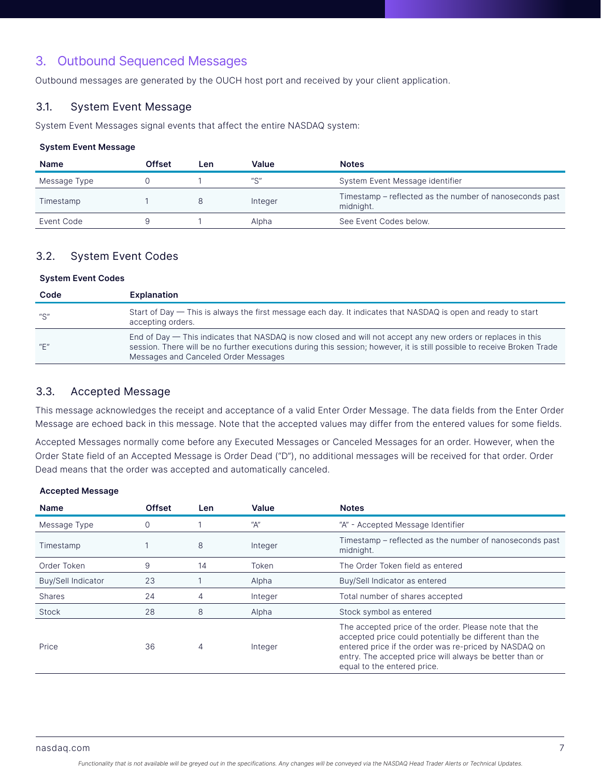# 3. Outbound Sequenced Messages

Outbound messages are generated by the OUCH host port and received by your client application.

## 3.1. System Event Message

System Event Messages signal events that affect the entire NASDAQ system:

#### System Event Message

| <b>Name</b>  | Offset | Len | Value                                 | <b>Notes</b>                                                         |
|--------------|--------|-----|---------------------------------------|----------------------------------------------------------------------|
| Message Type |        |     | $^{\prime\prime}$ C $^{\prime\prime}$ | System Event Message identifier                                      |
| Timestamp    |        |     | Integer                               | Timestamp - reflected as the number of nanoseconds past<br>midnight. |
| Event Code   |        |     | Alpha                                 | See Event Codes below.                                               |

## 3.2. System Event Codes

#### System Event Codes

| Code                                  | <b>Explanation</b>                                                                                                                                                                                                                                                              |
|---------------------------------------|---------------------------------------------------------------------------------------------------------------------------------------------------------------------------------------------------------------------------------------------------------------------------------|
| "S"                                   | Start of Day — This is always the first message each day. It indicates that NASDAQ is open and ready to start<br>accepting orders.                                                                                                                                              |
| $^{\prime\prime}$ F $^{\prime\prime}$ | End of Day — This indicates that NASDAQ is now closed and will not accept any new orders or replaces in this<br>session. There will be no further executions during this session; however, it is still possible to receive Broken Trade<br>Messages and Canceled Order Messages |

## 3.3. Accepted Message

This message acknowledges the receipt and acceptance of a valid Enter Order Message. The data fields from the Enter Order Message are echoed back in this message. Note that the accepted values may differ from the entered values for some fields.

Accepted Messages normally come before any Executed Messages or Canceled Messages for an order. However, when the Order State field of an Accepted Message is Order Dead ("D"), no additional messages will be received for that order. Order Dead means that the order was accepted and automatically canceled.

#### Accepted Message

| <b>Name</b>               | <b>Offset</b> | Len. | Value   | <b>Notes</b>                                                                                                                                                                                                                                                       |
|---------------------------|---------------|------|---------|--------------------------------------------------------------------------------------------------------------------------------------------------------------------------------------------------------------------------------------------------------------------|
| Message Type              | $\Omega$      |      | "A"     | "A" - Accepted Message Identifier                                                                                                                                                                                                                                  |
| Timestamp                 |               | 8    | Integer | Timestamp – reflected as the number of nanoseconds past<br>midnight.                                                                                                                                                                                               |
| Order Token               | 9             | 14   | Token   | The Order Token field as entered                                                                                                                                                                                                                                   |
| <b>Buy/Sell Indicator</b> | 23            |      | Alpha   | Buy/Sell Indicator as entered                                                                                                                                                                                                                                      |
| <b>Shares</b>             | 24            | 4    | Integer | Total number of shares accepted                                                                                                                                                                                                                                    |
| Stock                     | 28            | 8    | Alpha   | Stock symbol as entered                                                                                                                                                                                                                                            |
| Price                     | 36            | 4    | Integer | The accepted price of the order. Please note that the<br>accepted price could potentially be different than the<br>entered price if the order was re-priced by NASDAQ on<br>entry. The accepted price will always be better than or<br>equal to the entered price. |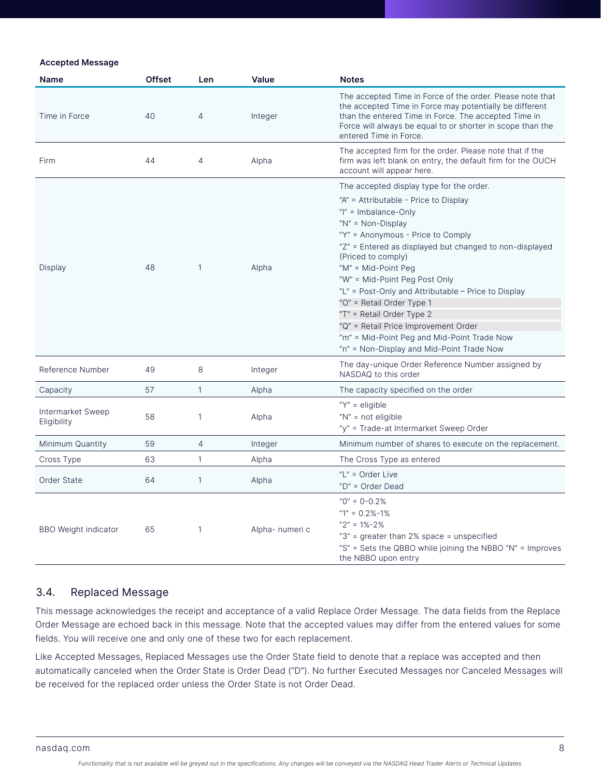#### Accepted Message

| <b>Name</b>                      | <b>Offset</b> | Len          | Value           | <b>Notes</b>                                                                                                                                                                                                                                                                                                                                                                                                                                                                                                                      |
|----------------------------------|---------------|--------------|-----------------|-----------------------------------------------------------------------------------------------------------------------------------------------------------------------------------------------------------------------------------------------------------------------------------------------------------------------------------------------------------------------------------------------------------------------------------------------------------------------------------------------------------------------------------|
| Time in Force                    | 40            | 4            | Integer         | The accepted Time in Force of the order. Please note that<br>the accepted Time in Force may potentially be different<br>than the entered Time in Force. The accepted Time in<br>Force will always be equal to or shorter in scope than the<br>entered Time in Force.                                                                                                                                                                                                                                                              |
| Firm                             | 44            | 4            | Alpha           | The accepted firm for the order. Please note that if the<br>firm was left blank on entry, the default firm for the OUCH<br>account will appear here.                                                                                                                                                                                                                                                                                                                                                                              |
|                                  |               |              |                 | The accepted display type for the order.                                                                                                                                                                                                                                                                                                                                                                                                                                                                                          |
| Display                          | 48            | $\mathbf{1}$ | Alpha           | "A" = Attributable - Price to Display<br>" $I'' =$ Imbalance-Only<br>" $N'' = Non-Display$<br>"Y" = Anonymous - Price to Comply<br>"Z" = Entered as displayed but changed to non-displayed<br>(Priced to comply)<br>" $M$ " = Mid-Point Peg<br>"W" = Mid-Point Peg Post Only<br>"L" = Post-Only and Attributable - Price to Display<br>"O" = Retail Order Type 1<br>"T" = Retail Order Type 2<br>"Q" = Retail Price Improvement Order<br>"m" = Mid-Point Peg and Mid-Point Trade Now<br>"n" = Non-Display and Mid-Point Trade Now |
| Reference Number                 | 49            | 8            | Integer         | The day-unique Order Reference Number assigned by<br>NASDAQ to this order                                                                                                                                                                                                                                                                                                                                                                                                                                                         |
| Capacity                         | 57            | $\mathbf{1}$ | Alpha           | The capacity specified on the order                                                                                                                                                                                                                                                                                                                                                                                                                                                                                               |
| Intermarket Sweep<br>Eligibility | 58            | $\mathbf{1}$ | Alpha           | " $Y$ " = eligible<br>" $N"$ = not eligible<br>"y" = Trade-at Intermarket Sweep Order                                                                                                                                                                                                                                                                                                                                                                                                                                             |
| Minimum Quantity                 | 59            | 4            | Integer         | Minimum number of shares to execute on the replacement.                                                                                                                                                                                                                                                                                                                                                                                                                                                                           |
| Cross Type                       | 63            | $\mathbf{1}$ | Alpha           | The Cross Type as entered                                                                                                                                                                                                                                                                                                                                                                                                                                                                                                         |
| Order State                      | 64            | $\mathbf{1}$ | Alpha           | "L" = Order Live<br>"D" = Order Dead                                                                                                                                                                                                                                                                                                                                                                                                                                                                                              |
| <b>BBO Weight indicator</b>      | 65            | $\mathbf{1}$ | Alpha- numeri c | $"0" = 0-0.2\%$<br>" $1" = 0.2\% - 1\%$<br>$"2" = 1% - 2%$<br>"3" = greater than 2% space = unspecified<br>"S" = Sets the QBBO while joining the NBBO "N" = Improves<br>the NBBO upon entry                                                                                                                                                                                                                                                                                                                                       |

## 3.4. Replaced Message

This message acknowledges the receipt and acceptance of a valid Replace Order Message. The data fields from the Replace Order Message are echoed back in this message. Note that the accepted values may differ from the entered values for some fields. You will receive one and only one of these two for each replacement.

Like Accepted Messages, Replaced Messages use the Order State field to denote that a replace was accepted and then automatically canceled when the Order State is Order Dead ("D"). No further Executed Messages nor Canceled Messages will be received for the replaced order unless the Order State is not Order Dead.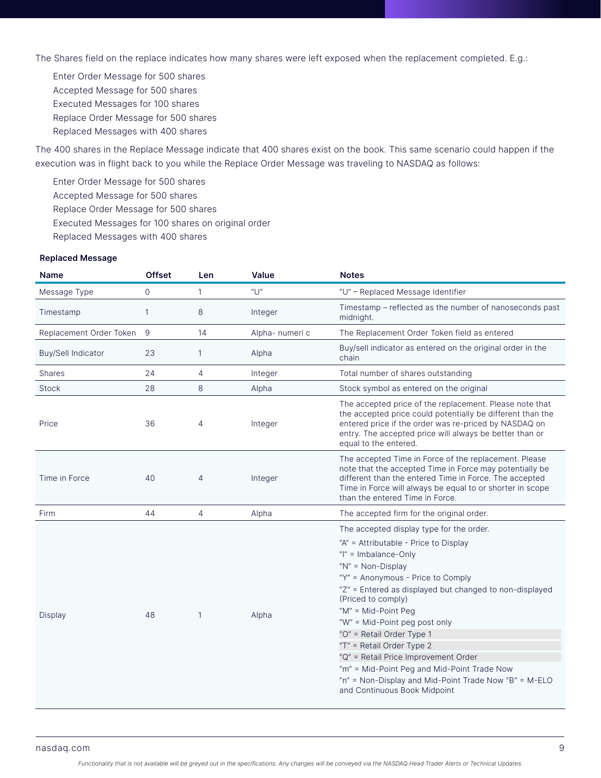The Shares field on the replace indicates how many shares were left exposed when the replacement completed. E.g.:

Enter Order Message for 500 shares Accepted Message for 500 shares Executed Messages for 100 shares Replace Order Message for 500 shares Replaced Messages with 400 shares

The 400 shares in the Replace Message indicate that 400 shares exist on the book. This same scenario could happen if the execution was in flight back to you while the Replace Order Message was traveling to NASDAQ as follows:

Enter Order Message for 500 shares

Accepted Message for 500 shares

Replace Order Message for 500 shares

Executed Messages for 100 shares on original order

Replaced Messages with 400 shares

#### Replaced Message

| <b>Name</b>               | <b>Offset</b> | Len          | Value                | <b>Notes</b>                                                                                                                                                                                                                                                                                                                                                                                                                                                                                                                                                   |
|---------------------------|---------------|--------------|----------------------|----------------------------------------------------------------------------------------------------------------------------------------------------------------------------------------------------------------------------------------------------------------------------------------------------------------------------------------------------------------------------------------------------------------------------------------------------------------------------------------------------------------------------------------------------------------|
| Message Type              | 0             | 1            | $^{\prime\prime}$ U" | "U" - Replaced Message Identifier                                                                                                                                                                                                                                                                                                                                                                                                                                                                                                                              |
| Timestamp                 |               | 8            | Integer              | Timestamp - reflected as the number of nanoseconds past<br>midnight.                                                                                                                                                                                                                                                                                                                                                                                                                                                                                           |
| Replacement Order Token   | 9             | 14           | Alpha- numeri c      | The Replacement Order Token field as entered                                                                                                                                                                                                                                                                                                                                                                                                                                                                                                                   |
| <b>Buy/Sell Indicator</b> | 23            | 1            | Alpha                | Buy/sell indicator as entered on the original order in the<br>chain                                                                                                                                                                                                                                                                                                                                                                                                                                                                                            |
| <b>Shares</b>             | 24            | 4            | Integer              | Total number of shares outstanding                                                                                                                                                                                                                                                                                                                                                                                                                                                                                                                             |
| Stock                     | 28            | 8            | Alpha                | Stock symbol as entered on the original                                                                                                                                                                                                                                                                                                                                                                                                                                                                                                                        |
| Price                     | 36            | 4            | Integer              | The accepted price of the replacement. Please note that<br>the accepted price could potentially be different than the<br>entered price if the order was re-priced by NASDAQ on<br>entry. The accepted price will always be better than or<br>equal to the entered.                                                                                                                                                                                                                                                                                             |
| Time in Force             | 40            | 4            | Integer              | The accepted Time in Force of the replacement. Please<br>note that the accepted Time in Force may potentially be<br>different than the entered Time in Force. The accepted<br>Time in Force will always be equal to or shorter in scope<br>than the entered Time in Force.                                                                                                                                                                                                                                                                                     |
| Firm                      | 44            | 4            | Alpha                | The accepted firm for the original order.                                                                                                                                                                                                                                                                                                                                                                                                                                                                                                                      |
| Display                   | 48            | $\mathbf{1}$ | Alpha                | The accepted display type for the order.<br>"A" = Attributable - Price to Display<br>" $I'' =$ Imbalance-Only<br>" $N$ " = Non-Display<br>"Y" = Anonymous - Price to Comply<br>"Z" = Entered as displayed but changed to non-displayed<br>(Priced to comply)<br>"M" = Mid-Point Peg<br>"W" = Mid-Point peg post only<br>"O" = Retail Order Type 1<br>"T" = Retail Order Type 2<br>"Q" = Retail Price Improvement Order<br>"m" = Mid-Point Peg and Mid-Point Trade Now<br>"n" = Non-Display and Mid-Point Trade Now "B" = M-ELO<br>and Continuous Book Midpoint |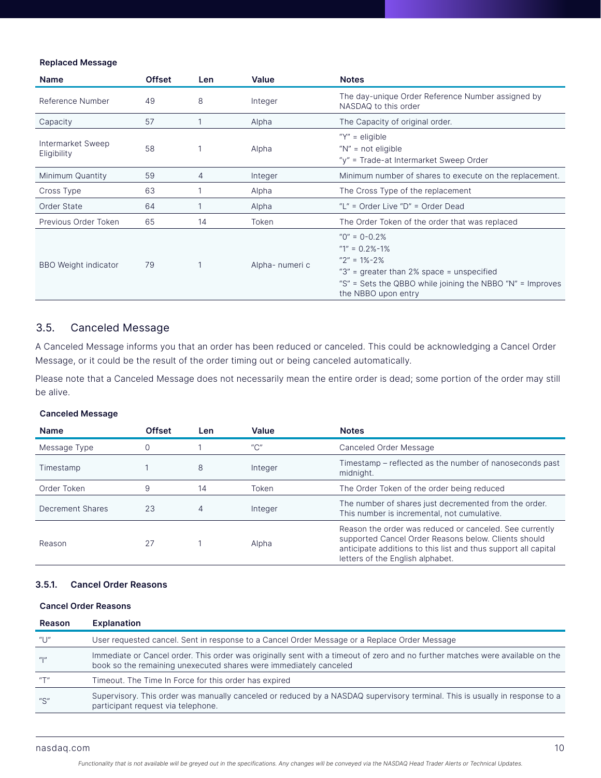#### Replaced Message

| <b>Name</b>                      | <b>Offset</b> | Len. | Value           | <b>Notes</b>                                                                                                                                                                                                                                       |
|----------------------------------|---------------|------|-----------------|----------------------------------------------------------------------------------------------------------------------------------------------------------------------------------------------------------------------------------------------------|
| Reference Number                 | 49            | 8    | Integer         | The day-unique Order Reference Number assigned by<br>NASDAQ to this order                                                                                                                                                                          |
| Capacity                         | 57            |      | Alpha           | The Capacity of original order.                                                                                                                                                                                                                    |
| Intermarket Sweep<br>Eligibility | 58            |      | Alpha           | " $Y'' =$ eligible<br>" $N''$ = not eligible<br>"y" = Trade-at Intermarket Sweep Order                                                                                                                                                             |
| Minimum Quantity                 | 59            | 4    | Integer         | Minimum number of shares to execute on the replacement.                                                                                                                                                                                            |
| Cross Type                       | 63            |      | Alpha           | The Cross Type of the replacement                                                                                                                                                                                                                  |
| Order State                      | 64            |      | Alpha           | "L" = Order Live "D" = Order Dead                                                                                                                                                                                                                  |
| Previous Order Token             | 65            | 14   | Token           | The Order Token of the order that was replaced                                                                                                                                                                                                     |
| <b>BBO</b> Weight indicator      | 79            |      | Alpha- numeri c | $^{\prime\prime}$ (0 <sup><math>\prime\prime</math></sup> = 0-0.2%<br>" $1" = 0.2\% - 1\%$<br>$''2'' = 1\% - 2\%$<br>"3" = qreater than 2% space = unspecified<br>"S" = Sets the QBBO while joining the NBBO "N" = Improves<br>the NBBO upon entry |

## 3.5. Canceled Message

A Canceled Message informs you that an order has been reduced or canceled. This could be acknowledging a Cancel Order Message, or it could be the result of the order timing out or being canceled automatically.

Please note that a Canceled Message does not necessarily mean the entire order is dead; some portion of the order may still be alive.

#### Canceled Message

| <b>Name</b>      | <b>Offset</b> | Len | Value                | <b>Notes</b>                                                                                                                                                                                                          |
|------------------|---------------|-----|----------------------|-----------------------------------------------------------------------------------------------------------------------------------------------------------------------------------------------------------------------|
| Message Type     |               |     | $^{\prime\prime}$ C" | Canceled Order Message                                                                                                                                                                                                |
| Timestamp        |               | 8   | Integer              | Timestamp – reflected as the number of nanoseconds past<br>midnight.                                                                                                                                                  |
| Order Token      | 9             | 14  | Token                | The Order Token of the order being reduced                                                                                                                                                                            |
| Decrement Shares | 23            | 4   | Integer              | The number of shares just decremented from the order.<br>This number is incremental, not cumulative.                                                                                                                  |
| Reason           | 27            |     | Alpha                | Reason the order was reduced or canceled. See currently<br>supported Cancel Order Reasons below. Clients should<br>anticipate additions to this list and thus support all capital<br>letters of the English alphabet. |

## 3.5.1. Cancel Order Reasons

## Cancel Order Reasons

| <b>Reason</b> | <b>Explanation</b>                                                                                                                                                                                 |
|---------------|----------------------------------------------------------------------------------------------------------------------------------------------------------------------------------------------------|
| "U"           | User requested cancel. Sent in response to a Cancel Order Message or a Replace Order Message                                                                                                       |
| $\mu$         | Immediate or Cancel order. This order was originally sent with a timeout of zero and no further matches were available on the<br>book so the remaining unexecuted shares were immediately canceled |
| $u \pm n$     | Timeout. The Time In Force for this order has expired                                                                                                                                              |
| "S"           | Supervisory. This order was manually canceled or reduced by a NASDAQ supervisory terminal. This is usually in response to a<br>participant request via telephone.                                  |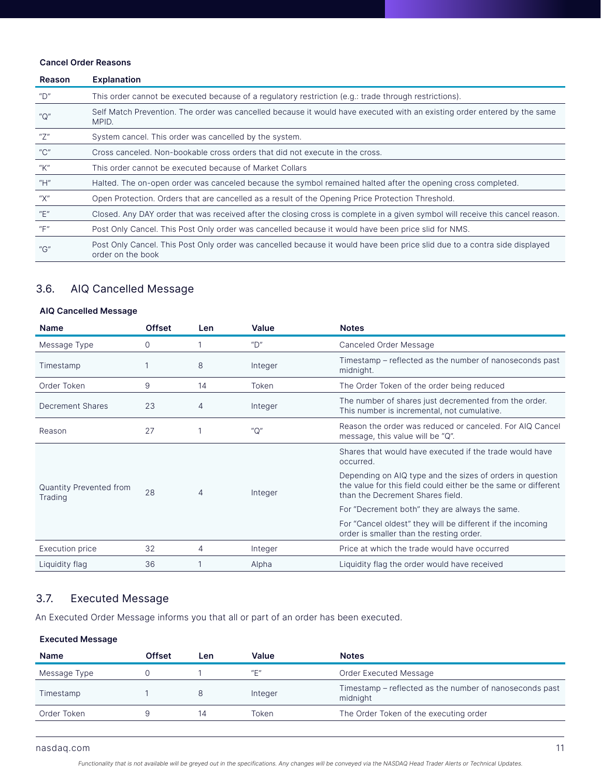#### Cancel Order Reasons

| Reason                                | <b>Explanation</b>                                                                                                                             |
|---------------------------------------|------------------------------------------------------------------------------------------------------------------------------------------------|
| "D"                                   | This order cannot be executed because of a regulatory restriction (e.g.: trade through restrictions).                                          |
| $^{\prime\prime}$ C $^{\prime\prime}$ | Self Match Prevention. The order was cancelled because it would have executed with an existing order entered by the same<br>MPID.              |
| "Z"                                   | System cancel. This order was cancelled by the system.                                                                                         |
| $^{\prime\prime}$ C"                  | Cross canceled. Non-bookable cross orders that did not execute in the cross.                                                                   |
| "К"                                   | This order cannot be executed because of Market Collars                                                                                        |
| "H"                                   | Halted. The on-open order was canceled because the symbol remained halted after the opening cross completed.                                   |
| "Х"                                   | Open Protection. Orders that are cancelled as a result of the Opening Price Protection Threshold.                                              |
| $^{\prime\prime}$ E"                  | Closed. Any DAY order that was received after the closing cross is complete in a given symbol will receive this cancel reason.                 |
| "F"                                   | Post Only Cancel. This Post Only order was cancelled because it would have been price slid for NMS.                                            |
| ''G''                                 | Post Only Cancel. This Post Only order was cancelled because it would have been price slid due to a contra side displayed<br>order on the book |

## 3.6. AIQ Cancelled Message

## AIQ Cancelled Message

| <b>Name</b>                               | <b>Offset</b> | <b>Len</b> | Value                | <b>Notes</b>                                                                                                                                                    |
|-------------------------------------------|---------------|------------|----------------------|-----------------------------------------------------------------------------------------------------------------------------------------------------------------|
| Message Type                              | $\Omega$      |            | $^{\prime\prime}$ D" | Canceled Order Message                                                                                                                                          |
| Timestamp                                 |               | 8          | Integer              | Timestamp – reflected as the number of nanoseconds past<br>midnight.                                                                                            |
| Order Token                               | 9             | 14         | Token                | The Order Token of the order being reduced                                                                                                                      |
| <b>Decrement Shares</b>                   | 23            | 4          | Integer              | The number of shares just decremented from the order.<br>This number is incremental, not cumulative.                                                            |
| Reason                                    | 27            |            | $^{\prime\prime}$ O" | Reason the order was reduced or canceled. For AIQ Cancel<br>message, this value will be "Q".                                                                    |
| <b>Quantity Prevented from</b><br>Trading | 28            | 4          |                      | Shares that would have executed if the trade would have<br>occurred.                                                                                            |
|                                           |               |            | Integer              | Depending on AIQ type and the sizes of orders in question<br>the value for this field could either be the same or different<br>than the Decrement Shares field. |
|                                           |               |            |                      | For "Decrement both" they are always the same.                                                                                                                  |
|                                           |               |            |                      | For "Cancel oldest" they will be different if the incoming<br>order is smaller than the resting order.                                                          |
| Execution price                           | 32            | 4          | Integer              | Price at which the trade would have occurred                                                                                                                    |
| Liquidity flag                            | 36            |            | Alpha                | Liquidity flag the order would have received                                                                                                                    |

## 3.7. Executed Message

An Executed Order Message informs you that all or part of an order has been executed.

## Executed Message

| <b>Name</b>  | Offset | Len | Value   | <b>Notes</b>                                                        |
|--------------|--------|-----|---------|---------------------------------------------------------------------|
| Message Type |        |     | "⊏"     | Order Executed Message                                              |
| Timestamp    |        |     | Integer | Timestamp - reflected as the number of nanoseconds past<br>midnight |
| Order Token  |        | 14  | Token   | The Order Token of the executing order                              |
|              |        |     |         |                                                                     |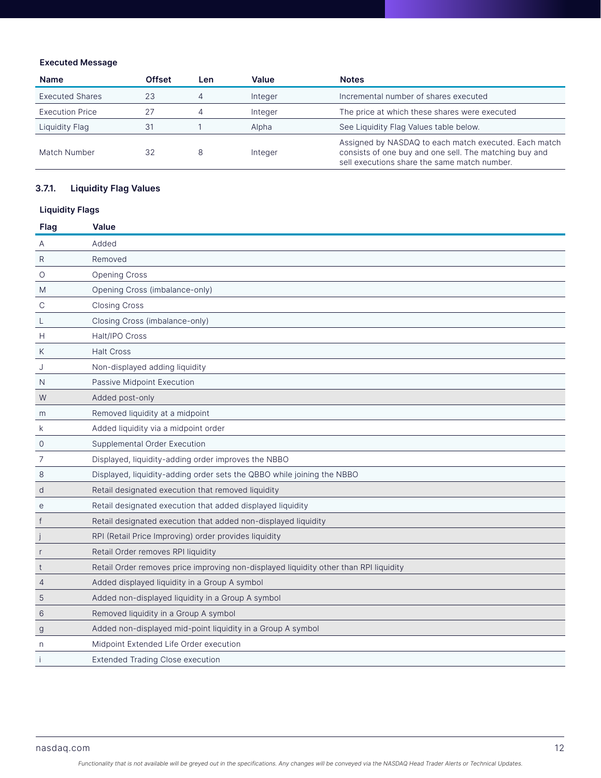## Executed Message

| <b>Name</b>            | <b>Offset</b> | Len | Value   | <b>Notes</b>                                                                                                                                                    |
|------------------------|---------------|-----|---------|-----------------------------------------------------------------------------------------------------------------------------------------------------------------|
| <b>Executed Shares</b> | 23            |     | Integer | Incremental number of shares executed                                                                                                                           |
| <b>Execution Price</b> | 27            |     | Integer | The price at which these shares were executed                                                                                                                   |
| Liquidity Flaq         | 31            |     | Alpha   | See Liquidity Flag Values table below.                                                                                                                          |
| Match Number           | 32            | 8   | Integer | Assigned by NASDAQ to each match executed. Each match<br>consists of one buy and one sell. The matching buy and<br>sell executions share the same match number. |

## 3.7.1. Liquidity Flag Values

## Liquidity Flags

| Flag            | <b>Value</b>                                                                          |
|-----------------|---------------------------------------------------------------------------------------|
| Α               | Added                                                                                 |
| R               | Removed                                                                               |
| O               | <b>Opening Cross</b>                                                                  |
| M               | Opening Cross (imbalance-only)                                                        |
| С               | <b>Closing Cross</b>                                                                  |
| L               | Closing Cross (imbalance-only)                                                        |
| н               | Halt/IPO Cross                                                                        |
| Κ               | <b>Halt Cross</b>                                                                     |
| J               | Non-displayed adding liquidity                                                        |
| N               | Passive Midpoint Execution                                                            |
| W               | Added post-only                                                                       |
| m               | Removed liquidity at a midpoint                                                       |
| k               | Added liquidity via a midpoint order                                                  |
| 0               | Supplemental Order Execution                                                          |
| 7               | Displayed, liquidity-adding order improves the NBBO                                   |
| 8               | Displayed, liquidity-adding order sets the QBBO while joining the NBBO                |
| d               | Retail designated execution that removed liquidity                                    |
| e               | Retail designated execution that added displayed liquidity                            |
| $\mathsf{f}$    | Retail designated execution that added non-displayed liquidity                        |
|                 | RPI (Retail Price Improving) order provides liquidity                                 |
| r               | Retail Order removes RPI liquidity                                                    |
| t               | Retail Order removes price improving non-displayed liquidity other than RPI liquidity |
| 4               | Added displayed liquidity in a Group A symbol                                         |
| 5               | Added non-displayed liquidity in a Group A symbol                                     |
| $6\phantom{1}6$ | Removed liquidity in a Group A symbol                                                 |
| g               | Added non-displayed mid-point liquidity in a Group A symbol                           |
| n               | Midpoint Extended Life Order execution                                                |
|                 | <b>Extended Trading Close execution</b>                                               |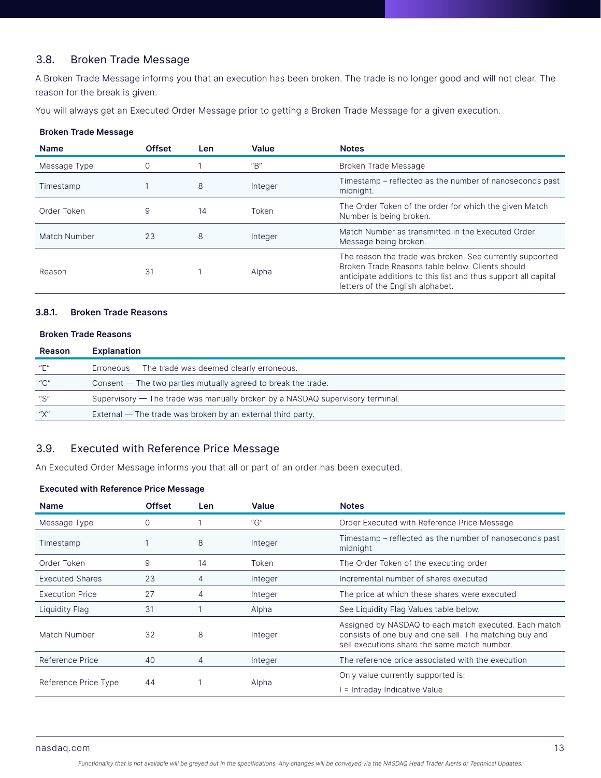## 3.8. Broken Trade Message

A Broken Trade Message informs you that an execution has been broken. The trade is no longer good and will not clear. The reason for the break is given.

You will always get an Executed Order Message prior to getting a Broken Trade Message for a given execution.

#### Broken Trade Message

| <b>Name</b>  | <b>Offset</b> | Len | Value                | <b>Notes</b>                                                                                                                                                                                                       |
|--------------|---------------|-----|----------------------|--------------------------------------------------------------------------------------------------------------------------------------------------------------------------------------------------------------------|
| Message Type |               |     | $^{\prime\prime}$ B" | Broken Trade Message                                                                                                                                                                                               |
| Timestamp    |               | 8   | Integer              | Timestamp – reflected as the number of nanoseconds past<br>midnight.                                                                                                                                               |
| Order Token  | 9             | 14  | Token                | The Order Token of the order for which the given Match<br>Number is being broken.                                                                                                                                  |
| Match Number | 23            | 8   | Integer              | Match Number as transmitted in the Executed Order<br>Message being broken.                                                                                                                                         |
| Reason       | 31            |     | Alpha                | The reason the trade was broken. See currently supported<br>Broken Trade Reasons table below. Clients should<br>anticipate additions to this list and thus support all capital<br>letters of the English alphabet. |

#### 3.8.1. Broken Trade Reasons

#### Broken Trade Reasons

| Reason               | Explanation                                                                   |
|----------------------|-------------------------------------------------------------------------------|
| "F"                  | $E$ rroneous $-$ The trade was deemed clearly erroneous.                      |
| $^{\prime\prime}$ C" | Consent $-$ The two parties mutually agreed to break the trade.               |
| "S"                  | Supervisory — The trade was manually broken by a NASDAQ supervisory terminal. |
| $\mu\sqrt{n}$        | External $-$ The trade was broken by an external third party.                 |

## 3.9. Executed with Reference Price Message

An Executed Order Message informs you that all or part of an order has been executed.

## Executed with Reference Price Message

| <b>Name</b>            | <b>Offset</b> | Len | Value                                           | <b>Notes</b>                                                                                                                                                    |
|------------------------|---------------|-----|-------------------------------------------------|-----------------------------------------------------------------------------------------------------------------------------------------------------------------|
| Message Type           | 0             |     | $^{\prime\prime}$ <sup><math>\rm G</math></sup> | Order Executed with Reference Price Message                                                                                                                     |
| Timestamp              |               | 8   | Integer                                         | Timestamp – reflected as the number of nanoseconds past<br>midnight                                                                                             |
| Order Token            | 9             | 14  | Token                                           | The Order Token of the executing order                                                                                                                          |
| <b>Executed Shares</b> | 23            | 4   | Integer                                         | Incremental number of shares executed                                                                                                                           |
| <b>Execution Price</b> | 27            | 4   | Integer                                         | The price at which these shares were executed                                                                                                                   |
| Liquidity Flaq         | 31            |     | Alpha                                           | See Liquidity Flag Values table below.                                                                                                                          |
| Match Number           | 32            | 8   | Integer                                         | Assigned by NASDAQ to each match executed. Each match<br>consists of one buy and one sell. The matching buy and<br>sell executions share the same match number. |
| Reference Price        | 40            | 4   | Integer                                         | The reference price associated with the execution                                                                                                               |
| Reference Price Type   | 44            |     |                                                 | Only value currently supported is:                                                                                                                              |
|                        |               |     | Alpha                                           | = Intraday Indicative Value                                                                                                                                     |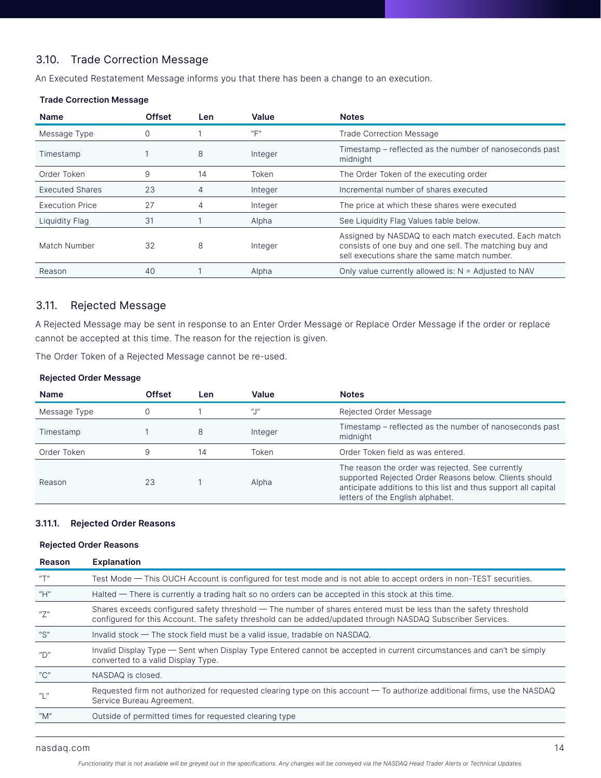## 3.10. Trade Correction Message

An Executed Restatement Message informs you that there has been a change to an execution.

#### Trade Correction Message

| <b>Name</b>            | <b>Offset</b> | Len | Value                                   | <b>Notes</b>                                                                                                                                                    |
|------------------------|---------------|-----|-----------------------------------------|-----------------------------------------------------------------------------------------------------------------------------------------------------------------|
| Message Type           | 0             |     | $^{\prime\prime}$ $\Box^{\prime\prime}$ | <b>Trade Correction Message</b>                                                                                                                                 |
| Timestamp              |               | 8   | Integer                                 | Timestamp – reflected as the number of nanoseconds past<br>midnight                                                                                             |
| Order Token            | 9             | 14  | Token                                   | The Order Token of the executing order                                                                                                                          |
| <b>Executed Shares</b> | 23            | 4   | Integer                                 | Incremental number of shares executed                                                                                                                           |
| <b>Execution Price</b> | 27            | 4   | Integer                                 | The price at which these shares were executed                                                                                                                   |
| Liquidity Flag         | 31            |     | Alpha                                   | See Liquidity Flag Values table below.                                                                                                                          |
| Match Number           | 32            | 8   | Integer                                 | Assigned by NASDAQ to each match executed. Each match<br>consists of one buy and one sell. The matching buy and<br>sell executions share the same match number. |
| Reason                 | 40            |     | Alpha                                   | Only value currently allowed is: $N =$ Adjusted to NAV                                                                                                          |

## 3.11. Rejected Message

A Rejected Message may be sent in response to an Enter Order Message or Replace Order Message if the order or replace cannot be accepted at this time. The reason for the rejection is given.

The Order Token of a Rejected Message cannot be re-used.

#### Rejected Order Message

| <b>Name</b>  | <b>Offset</b> | Len | Value             | <b>Notes</b>                                                                                                                                                                                                     |
|--------------|---------------|-----|-------------------|------------------------------------------------------------------------------------------------------------------------------------------------------------------------------------------------------------------|
| Message Type |               |     | $\frac{u + u}{u}$ | Rejected Order Message                                                                                                                                                                                           |
| Timestamp    |               | 8   | Integer           | Timestamp – reflected as the number of nanoseconds past<br>midnight                                                                                                                                              |
| Order Token  |               | 14  | Token             | Order Token field as was entered.                                                                                                                                                                                |
| Reason       | 23            |     | Alpha             | The reason the order was rejected. See currently<br>supported Rejected Order Reasons below. Clients should<br>anticipate additions to this list and thus support all capital<br>letters of the English alphabet. |

#### 3.11.1. Rejected Order Reasons

#### Rejected Order Reasons

| Reason                                | <b>Explanation</b>                                                                                                                                                                                                               |
|---------------------------------------|----------------------------------------------------------------------------------------------------------------------------------------------------------------------------------------------------------------------------------|
| $^{\prime\prime}$ T $^{\prime\prime}$ | Test Mode — This OUCH Account is configured for test mode and is not able to accept orders in non-TEST securities.                                                                                                               |
| "H"                                   | $Halded$ – There is currently a trading halt so no orders can be accepted in this stock at this time.                                                                                                                            |
| "7"                                   | Shares exceeds configured safety threshold $-$ The number of shares entered must be less than the safety threshold<br>configured for this Account. The safety threshold can be added/updated through NASDAQ Subscriber Services. |
| $^{\prime\prime}$ S"                  | Invalid stock $-$ The stock field must be a valid issue, tradable on NASDAQ.                                                                                                                                                     |
| ‴∩"                                   | Invalid Display Type – Sent when Display Type Entered cannot be accepted in current circumstances and can't be simply<br>converted to a valid Display Type.                                                                      |
| "C"                                   | NASDAQ is closed.                                                                                                                                                                                                                |
| $^{\prime\prime}$   $^{\prime\prime}$ | Requested firm not authorized for requested clearing type on this account $-$ To authorize additional firms, use the NASDAQ<br>Service Bureau Agreement.                                                                         |
| "M"                                   | Outside of permitted times for requested clearing type                                                                                                                                                                           |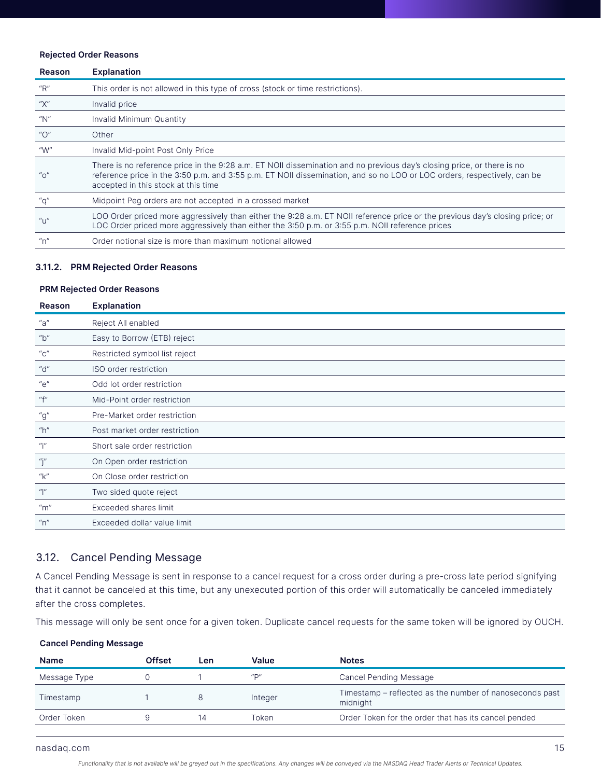#### Rejected Order Reasons

| Reason                                          | <b>Explanation</b>                                                                                                                                                                                                                                                                       |
|-------------------------------------------------|------------------------------------------------------------------------------------------------------------------------------------------------------------------------------------------------------------------------------------------------------------------------------------------|
| $^{\prime\prime}$ R $^{\prime\prime}$           | This order is not allowed in this type of cross (stock or time restrictions).                                                                                                                                                                                                            |
| "Х"                                             | Invalid price                                                                                                                                                                                                                                                                            |
| "N"                                             | Invalid Minimum Quantity                                                                                                                                                                                                                                                                 |
| $^{\prime\prime}O^{\prime\prime}$               | Other                                                                                                                                                                                                                                                                                    |
| "W"                                             | Invalid Mid-point Post Only Price                                                                                                                                                                                                                                                        |
| $^{\prime\prime}$ <sup><math>\circ</math></sup> | There is no reference price in the 9:28 a.m. ET NOII dissemination and no previous day's closing price, or there is no<br>reference price in the 3:50 p.m. and 3:55 p.m. ET NOII dissemination, and so no LOO or LOC orders, respectively, can be<br>accepted in this stock at this time |
| "q"                                             | Midpoint Peq orders are not accepted in a crossed market                                                                                                                                                                                                                                 |
| "U"                                             | LOO Order priced more aggressively than either the 9:28 a.m. ET NOII reference price or the previous day's closing price; or<br>LOC Order priced more aggressively than either the 3:50 p.m. or 3:55 p.m. NOII reference prices                                                          |
| "n"                                             | Order notional size is more than maximum notional allowed                                                                                                                                                                                                                                |

#### 3.11.2. PRM Rejected Order Reasons

#### PRM Rejected Order Reasons

| Reason                                  | <b>Explanation</b>            |
|-----------------------------------------|-------------------------------|
| "a"                                     | Reject All enabled            |
| "b"                                     | Easy to Borrow (ETB) reject   |
| $^{\prime\prime}$ C $^{\prime\prime}$   | Restricted symbol list reject |
| ''d''                                   | ISO order restriction         |
| "e"                                     | Odd lot order restriction     |
| "f"                                     | Mid-Point order restriction   |
| "g"                                     | Pre-Market order restriction  |
| "h"                                     | Post market order restriction |
| "i"                                     | Short sale order restriction  |
| "j"                                     | On Open order restriction     |
| "k"                                     | On Close order restriction    |
| $\mu$                                   | Two sided quote reject        |
| $~^{\prime\prime}$ m $~^{\prime\prime}$ | Exceeded shares limit         |
| n''                                     | Exceeded dollar value limit   |

## 3.12. Cancel Pending Message

A Cancel Pending Message is sent in response to a cancel request for a cross order during a pre-cross late period signifying that it cannot be canceled at this time, but any unexecuted portion of this order will automatically be canceled immediately after the cross completes.

This message will only be sent once for a given token. Duplicate cancel requests for the same token will be ignored by OUCH.

#### Cancel Pending Message

| <b>Name</b>  | Offset | Len | Value                | <b>Notes</b>                                                        |
|--------------|--------|-----|----------------------|---------------------------------------------------------------------|
| Message Type |        |     | $^{\prime\prime}$ D" | Cancel Pending Message                                              |
| Timestamp    |        |     | Integer              | Timestamp – reflected as the number of nanoseconds past<br>midnight |
| Order Token  |        | 14  | Token                | Order Token for the order that has its cancel pended                |
|              |        |     |                      |                                                                     |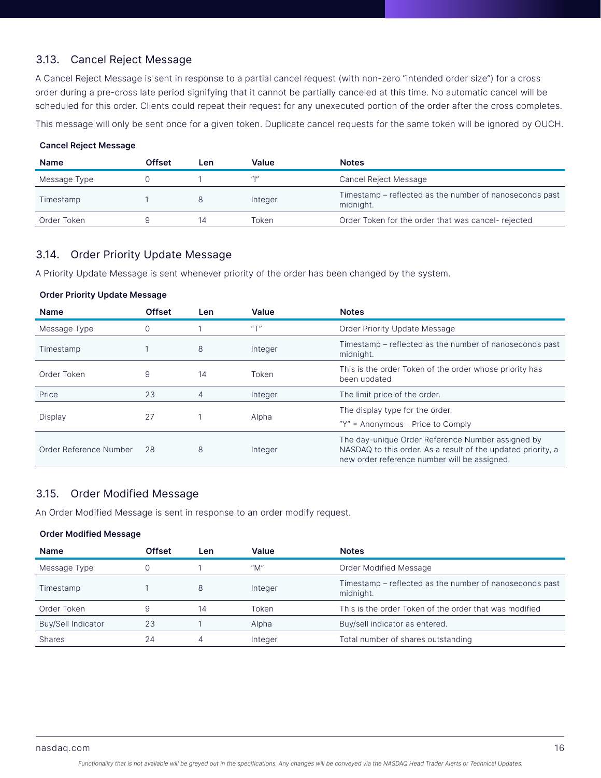## 3.13. Cancel Reject Message

A Cancel Reject Message is sent in response to a partial cancel request (with non-zero "intended order size") for a cross order during a pre-cross late period signifying that it cannot be partially canceled at this time. No automatic cancel will be scheduled for this order. Clients could repeat their request for any unexecuted portion of the order after the cross completes.

This message will only be sent once for a given token. Duplicate cancel requests for the same token will be ignored by OUCH.

## Cancel Reject Message

| <b>Name</b>  | Offset | Len | Value     | <b>Notes</b>                                                         |
|--------------|--------|-----|-----------|----------------------------------------------------------------------|
| Message Type |        |     | $\mu_{1}$ | Cancel Reject Message                                                |
| Timestamp    |        |     | Integer   | Timestamp – reflected as the number of nanoseconds past<br>midnight. |
| Order Token  |        | 14  | Token     | Order Token for the order that was cancel-rejected                   |

## 3.14. Order Priority Update Message

Order Priority Update Message

A Priority Update Message is sent whenever priority of the order has been changed by the system.

| <b>Name</b>            | <b>Offset</b> | <b>Len</b> | Value     | <b>Notes</b>                                                                                                                                                      |
|------------------------|---------------|------------|-----------|-------------------------------------------------------------------------------------------------------------------------------------------------------------------|
| Message Type           |               |            | $u \pm n$ | Order Priority Update Message                                                                                                                                     |
| Timestamp              |               | 8          | Integer   | Timestamp – reflected as the number of nanoseconds past<br>midnight.                                                                                              |
| Order Token            | 9             | 14         | Token     | This is the order Token of the order whose priority has<br>been updated                                                                                           |
| Price                  | 23            | 4          | Integer   | The limit price of the order.                                                                                                                                     |
|                        |               |            |           | The display type for the order.                                                                                                                                   |
|                        |               |            |           | " $Y''$ = Anonymous - Price to Comply                                                                                                                             |
| Order Reference Number | 28            | 8          | Integer   | The day-unique Order Reference Number assigned by<br>NASDAQ to this order. As a result of the updated priority, a<br>new order reference number will be assigned. |
| Display                | 27            |            | Alpha     |                                                                                                                                                                   |

## 3.15. Order Modified Message

An Order Modified Message is sent in response to an order modify request.

#### Order Modified Message

| <b>Name</b>               | <b>Offset</b> | Len | Value   | <b>Notes</b>                                                         |
|---------------------------|---------------|-----|---------|----------------------------------------------------------------------|
| Message Type              |               |     | "M"     | Order Modified Message                                               |
| Timestamp                 |               | 8   | Integer | Timestamp – reflected as the number of nanoseconds past<br>midnight. |
| Order Token               |               | 14  | Token   | This is the order Token of the order that was modified               |
| <b>Buy/Sell Indicator</b> | 23            |     | Alpha   | Buy/sell indicator as entered.                                       |
| <b>Shares</b>             | 24            | 4   | Integer | Total number of shares outstanding                                   |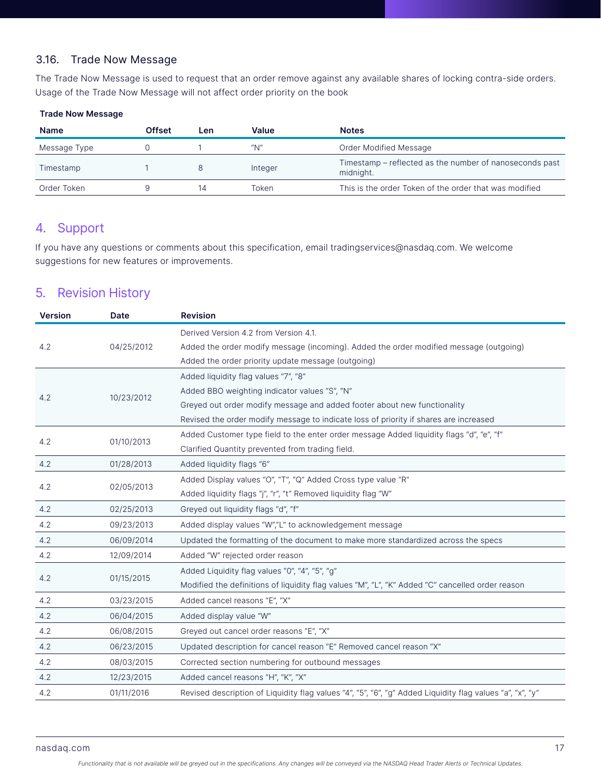## 3.16. Trade Now Message

The Trade Now Message is used to request that an order remove against any available shares of locking contra-side orders. Usage of the Trade Now Message will not affect order priority on the book

## Trade Now Message

| <b>Name</b>  | Offset | Len | Value   | <b>Notes</b>                                                         |
|--------------|--------|-----|---------|----------------------------------------------------------------------|
| Message Type |        |     | "N"     | Order Modified Message                                               |
| Timestamp    |        |     | Integer | Timestamp - reflected as the number of nanoseconds past<br>midnight. |
| Order Token  |        | 14  | Token   | This is the order Token of the order that was modified               |

# 4. Support

If you have any questions or comments about this specification, email tradingservices@nasdaq.com. We welcome suggestions for new features or improvements.

# 5. Revision History

| <b>Version</b> | Date       | <b>Revision</b>                                                                                           |
|----------------|------------|-----------------------------------------------------------------------------------------------------------|
|                |            | Derived Version 4.2 from Version 4.1.                                                                     |
| 4.2            | 04/25/2012 | Added the order modify message (incoming). Added the order modified message (outgoing)                    |
|                |            | Added the order priority update message (outgoing)                                                        |
|                |            | Added liquidity flag values "7", "8"                                                                      |
| 4.2            | 10/23/2012 | Added BBO weighting indicator values "S", "N"                                                             |
|                |            | Greyed out order modify message and added footer about new functionality                                  |
|                |            | Revised the order modify message to indicate loss of priority if shares are increased                     |
| 4.2            | 01/10/2013 | Added Customer type field to the enter order message Added liquidity flags "d", "e", "f"                  |
|                |            | Clarified Quantity prevented from trading field.                                                          |
| 4.2            | 01/28/2013 | Added liquidity flags "6"                                                                                 |
| 4.2            |            | Added Display values "O", "T", "Q" Added Cross type value "R"                                             |
|                | 02/05/2013 | Added liquidity flags "j", "r", "t" Removed liquidity flag "W"                                            |
| 4.2            | 02/25/2013 | Greyed out liquidity flags "d", "f"                                                                       |
| 4.2            | 09/23/2013 | Added display values "W","L" to acknowledgement message                                                   |
| 4.2            | 06/09/2014 | Updated the formatting of the document to make more standardized across the specs                         |
| 4.2            | 12/09/2014 | Added "W" rejected order reason                                                                           |
|                |            | Added Liquidity flag values "0", "4", "5", "g"                                                            |
| 4.2            | 01/15/2015 | Modified the definitions of liquidity flag values "M", "L", "K" Added "C" cancelled order reason          |
| 4.2            | 03/23/2015 | Added cancel reasons "E", "X"                                                                             |
| 4.2            | 06/04/2015 | Added display value "W"                                                                                   |
| 4.2            | 06/08/2015 | Greyed out cancel order reasons "E", "X"                                                                  |
| 4.2            | 06/23/2015 | Updated description for cancel reason "E" Removed cancel reason "X"                                       |
| 4.2            | 08/03/2015 | Corrected section numbering for outbound messages                                                         |
| 4.2            | 12/23/2015 | Added cancel reasons "H", "K", "X"                                                                        |
| 4.2            | 01/11/2016 | Revised description of Liquidity flag values "4", "5", "6", "g" Added Liquidity flag values "a", "x", "y" |